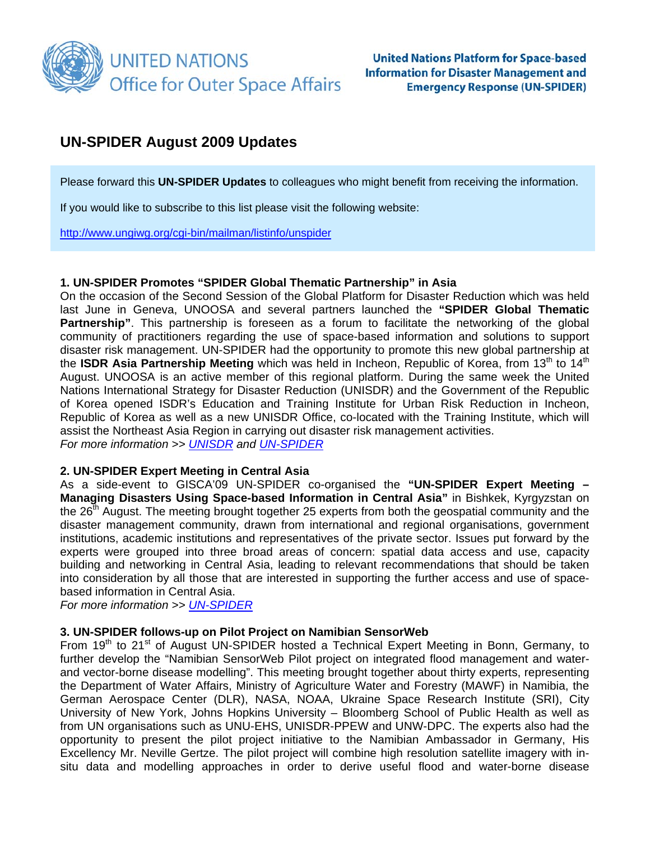

## **UN-SPIDER August 2009 Updates**

Please forward this **UN-SPIDER Updates** to colleagues who might benefit from receiving the information.

If you would like to subscribe to this list please visit the following website:

<http://www.ungiwg.org/cgi-bin/mailman/listinfo/unspider>

#### **1. UN-SPIDER Promotes "SPIDER Global Thematic Partnership" in Asia**

On the occasion of the Second Session of the Global Platform for Disaster Reduction which was held last June in Geneva, UNOOSA and several partners launched the **"SPIDER Global Thematic Partnership"**. This partnership is foreseen as a forum to facilitate the networking of the global community of practitioners regarding the use of space-based information and solutions to support disaster risk management. UN-SPIDER had the opportunity to promote this new global partnership at the **ISDR Asia Partnership Meeting** which was held in Incheon, Republic of Korea, from 13<sup>th</sup> to 14<sup>th</sup> August. UNOOSA is an active member of this regional platform. During the same week the United Nations International Strategy for Disaster Reduction (UNISDR) and the Government of the Republic of Korea opened ISDR's Education and Training Institute for Urban Risk Reduction in Incheon, Republic of Korea as well as a new UNISDR Office, co-located with the Training Institute, which will assist the Northeast Asia Region in carrying out disaster risk management activities. *For more information >> [UNISDR](http://www.unisdr.org/news/v.php?id=10749) and [UN-SPIDER](http://www.unspider.org/)*

#### **2. UN-SPIDER Expert Meeting in Central Asia**

As a side-event to GISCA'09 UN-SPIDER co-organised the **"UN-SPIDER Expert Meeting – Managing Disasters Using Space-based Information in Central Asia"** in Bishkek, Kyrgyzstan on the 26<sup>th</sup> August. The meeting brought together 25 experts from both the geospatial community and the disaster management community, drawn from international and regional organisations, government institutions, academic institutions and representatives of the private sector. Issues put forward by the experts were grouped into three broad areas of concern: spatial data access and use, capacity building and networking in Central Asia, leading to relevant recommendations that should be taken into consideration by all those that are interested in supporting the further access and use of spacebased information in Central Asia.

*For more information >> [UN-SPIDER](http://www.unspider.org/)*

#### **3. UN-SPIDER follows-up on Pilot Project on Namibian SensorWeb**

From 19<sup>th</sup> to 21<sup>st</sup> of August UN-SPIDER hosted a Technical Expert Meeting in Bonn, Germany, to further develop the "Namibian SensorWeb Pilot project on integrated flood management and waterand vector-borne disease modelling". This meeting brought together about thirty experts, representing the Department of Water Affairs, Ministry of Agriculture Water and Forestry (MAWF) in Namibia, the German Aerospace Center (DLR), NASA, NOAA, Ukraine Space Research Institute (SRI), City University of New York, Johns Hopkins University – Bloomberg School of Public Health as well as from UN organisations such as UNU-EHS, UNISDR-PPEW and UNW-DPC. The experts also had the opportunity to present the pilot project initiative to the Namibian Ambassador in Germany, His Excellency Mr. Neville Gertze. The pilot project will combine high resolution satellite imagery with insitu data and modelling approaches in order to derive useful flood and water-borne disease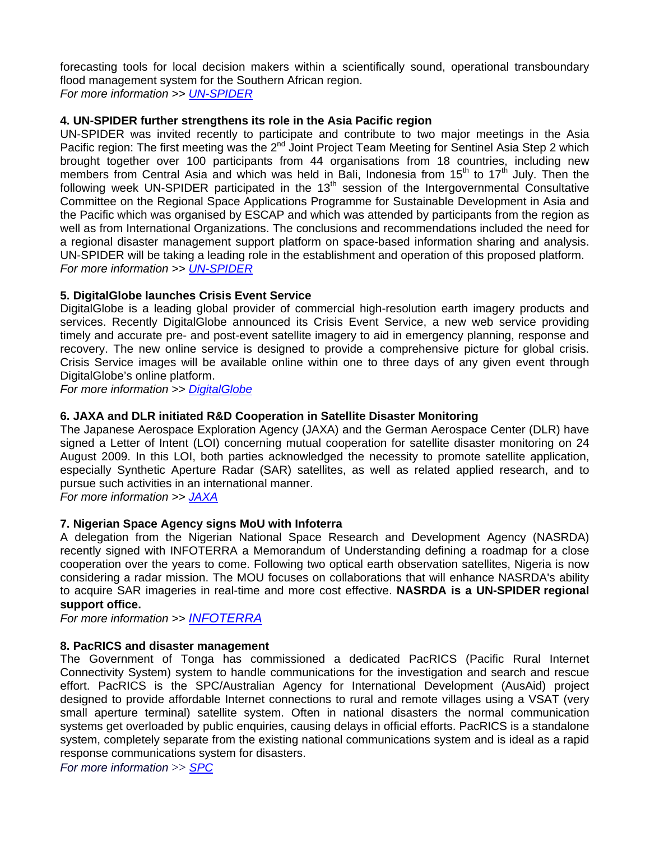forecasting tools for local decision makers within a scientifically sound, operational transboundary flood management system for the Southern African region. *For more information >> [UN-SPIDER](http://www.unspider.org/)*

## **4. UN-SPIDER further strengthens its role in the Asia Pacific region**

UN-SPIDER was invited recently to participate and contribute to two major meetings in the Asia Pacific region: The first meeting was the 2<sup>nd</sup> Joint Project Team Meeting for Sentinel Asia Step 2 which brought together over 100 participants from 44 organisations from 18 countries, including new members from Central Asia and which was held in Bali, Indonesia from  $15<sup>th</sup>$  to  $17<sup>th</sup>$  July. Then the following week UN-SPIDER participated in the  $13<sup>th</sup>$  session of the Intergovernmental Consultative Committee on the Regional Space Applications Programme for Sustainable Development in Asia and the Pacific which was organised by ESCAP and which was attended by participants from the region as well as from International Organizations. The conclusions and recommendations included the need for a regional disaster management support platform on space-based information sharing and analysis. UN-SPIDER will be taking a leading role in the establishment and operation of this proposed platform. *For more information >> [UN-SPIDER](http://www.unspider.org/)*

## **5. DigitalGlobe launches Crisis Event Service**

DigitalGlobe is a leading global provider of commercial high-resolution earth imagery products and services. Recently DigitalGlobe announced its Crisis Event Service, a new web service providing timely and accurate pre- and post-event satellite imagery to aid in emergency planning, response and recovery. The new online service is designed to provide a comprehensive picture for global crisis. Crisis Service images will be available online within one to three days of any given event through DigitalGlobe's online platform.

*For more information >> [DigitalGlobe](http://media.digitalglobe.com/index.php?s=43&item=170)*

## **6. JAXA and DLR initiated R&D Cooperation in Satellite Disaster Monitoring**

The Japanese Aerospace Exploration Agency (JAXA) and the German Aerospace Center (DLR) have signed a Letter of Intent (LOI) concerning mutual cooperation for satellite disaster monitoring on 24 August 2009. In this LOI, both parties acknowledged the necessity to promote satellite application, especially Synthetic Aperture Radar (SAR) satellites, as well as related applied research, and to pursue such activities in an international manner.

*For more information >> [JAXA](http://www.jaxa.jp/press/2009/08/20090824_dlr_e.html)*

## **7. Nigerian Space Agency signs MoU with Infoterra**

A delegation from the Nigerian National Space Research and Development Agency (NASRDA) recently signed with INFOTERRA a Memorandum of Understanding defining a roadmap for a close cooperation over the years to come. Following two optical earth observation satellites, Nigeria is now considering a radar mission. The MOU focuses on collaborations that will enhance NASRDA's ability to acquire SAR imageries in real-time and more cost effective. **NASRDA is a UN-SPIDER regional support office.**

*For more information >> [INFOTERRA](http://www.infoterra.de/detailview/date/2009/07/17/nigerian-space-agency-signs-mou-with-infoterra-gmbh.html)*

## **8. PacRICS and disaster management**

The Government of Tonga has commissioned a dedicated PacRICS (Pacific Rural Internet Connectivity System) system to handle communications for the investigation and search and rescue effort. PacRICS is the SPC/Australian Agency for International Development (AusAid) project designed to provide affordable Internet connections to rural and remote villages using a VSAT (very small aperture terminal) satellite system. Often in national disasters the normal communication systems get overloaded by public enquiries, causing delays in official efforts. PacRICS is a standalone system, completely separate from the existing national communications system and is ideal as a rapid response communications system for disasters.

*For more information* >> *[SPC](http://www.spc.int/corp/index.php?option=com_content&task=view&id=430&lang=EN)*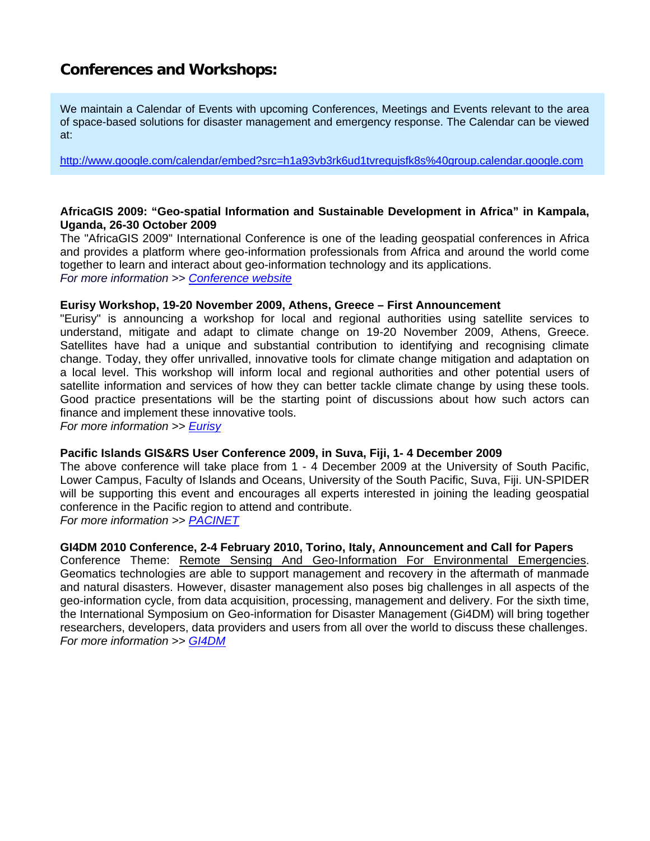# **Conferences and Workshops:**

We maintain a Calendar of Events with upcoming Conferences, Meetings and Events relevant to the area of space-based solutions for disaster management and emergency response. The Calendar can be viewed at:

<http://www.google.com/calendar/embed?src=h1a93vb3rk6ud1tvrequjsfk8s%40group.calendar.google.com>

#### **AfricaGIS 2009: "Geo-spatial Information and Sustainable Development in Africa" in Kampala, Uganda, 26-30 October 2009**

The "AfricaGIS 2009" International Conference is one of the leading geospatial conferences in Africa and provides a platform where geo-information professionals from Africa and around the world come together to learn and interact about geo-information technology and its applications. *For more information >> [Conference website](http://www.africagis2009.org/)*

#### **Eurisy Workshop, 19-20 November 2009, Athens, Greece – First Announcement**

"Eurisy" is announcing a workshop for local and regional authorities using satellite services to understand, mitigate and adapt to climate change on 19-20 November 2009, Athens, Greece. Satellites have had a unique and substantial contribution to identifying and recognising climate change. Today, they offer unrivalled, innovative tools for climate change mitigation and adaptation on a local level. This workshop will inform local and regional authorities and other potential users of satellite information and services of how they can better tackle climate change by using these tools. Good practice presentations will be the starting point of discussions about how such actors can finance and implement these innovative tools.

*For more information >> [Eurisy](http://www.eurisy.org/)*

## **Pacific Islands GIS&RS User Conference 2009, in Suva, Fiji, 1- 4 December 2009**

The above conference will take place from 1 - 4 December 2009 at the University of South Pacific, Lower Campus, Faculty of Islands and Oceans, University of the South Pacific, Suva, Fiji. UN-SPIDER will be supporting this event and encourages all experts interested in joining the leading geospatial conference in the Pacific region to attend and contribute. *For more information >> [PACINET](http://www.picisoc.org/PacGISRS2009)*

#### **GI4DM 2010 Conference, 2-4 February 2010, Torino, Italy, Announcement and Call for Papers**

Conference Theme: Remote Sensing And Geo-Information For Environmental Emergencies. Geomatics technologies are able to support management and recovery in the aftermath of manmade and natural disasters. However, disaster management also poses big challenges in all aspects of the geo-information cycle, from data acquisition, processing, management and delivery. For the sixth time, the International Symposium on Geo-information for Disaster Management (Gi4DM) will bring together researchers, developers, data providers and users from all over the world to discuss these challenges. *For more information >> [GI4DM](http://www.gi4dm-2010.org/)*